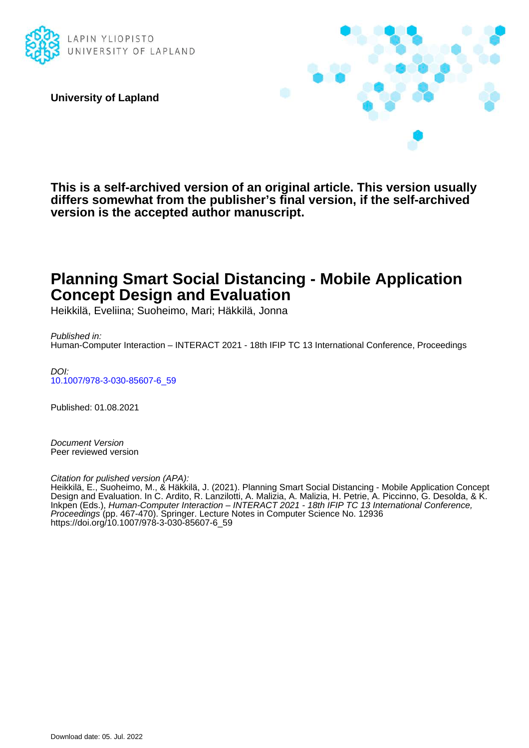

**University of Lapland**



**This is a self-archived version of an original article. This version usually differs somewhat from the publisher's final version, if the self-archived version is the accepted author manuscript.**

# **Planning Smart Social Distancing - Mobile Application Concept Design and Evaluation**

Heikkilä, Eveliina; Suoheimo, Mari; Häkkilä, Jonna

Published in:

Human-Computer Interaction – INTERACT 2021 - 18th IFIP TC 13 International Conference, Proceedings

DOI: [10.1007/978-3-030-85607-6\\_59](https://doi.org/10.1007/978-3-030-85607-6_59)

Published: 01.08.2021

Document Version Peer reviewed version

Citation for pulished version (APA):

Heikkilä, E., Suoheimo, M., & Häkkilä, J. (2021). Planning Smart Social Distancing - Mobile Application Concept Design and Evaluation. In C. Ardito, R. Lanzilotti, A. Malizia, A. Malizia, H. Petrie, A. Piccinno, G. Desolda, & K. Inkpen (Eds.), Human-Computer Interaction – INTERACT 2021 - 18th IFIP TC 13 International Conference, Proceedings (pp. 467-470). Springer. Lecture Notes in Computer Science No. 12936 [https://doi.org/10.1007/978-3-030-85607-6\\_59](https://doi.org/10.1007/978-3-030-85607-6_59)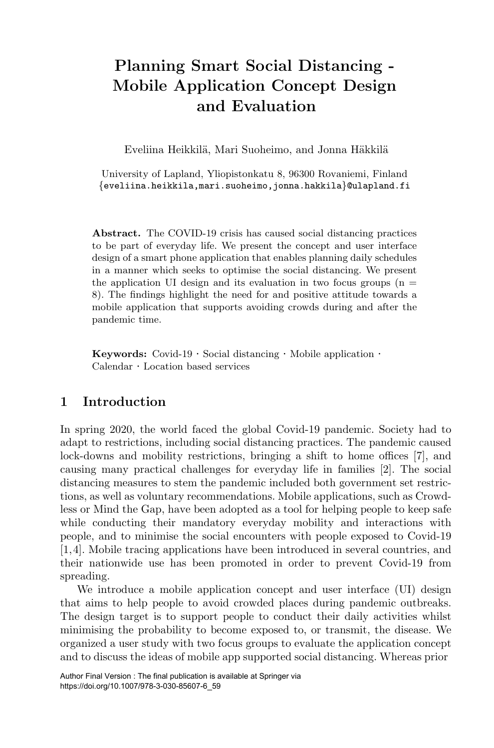# **Planning Smart Social Distancing - Mobile Application Concept Design and Evaluation**

Eveliina Heikkilä, Mari Suoheimo, and Jonna Häkkilä

University of Lapland, Yliopistonkatu 8, 96300 Rovaniemi, Finland *{*eveliina.heikkila,mari.suoheimo,jonna.hakkila*}*@ulapland.fi

**Abstract.** The COVID-19 crisis has caused social distancing practices to be part of everyday life. We present the concept and user interface design of a smart phone application that enables planning daily schedules in a manner which seeks to optimise the social distancing. We present the application UI design and its evaluation in two focus groups  $(n =$ 8). The findings highlight the need for and positive attitude towards a mobile application that supports avoiding crowds during and after the pandemic time.

**Keywords:** Covid-19 *·* Social distancing *·* Mobile application *·* Calendar *·* Location based services

### **1 Introduction**

In spring 2020, the world faced the global Covid-19 pandemic. Society had to adapt to restrictions, including social distancing practices. The pandemic caused lock-downs and mobility restrictions, bringing a shift to home offices [\[7\]](#page-4-0), and causing many practical challenges for everyday life in families [\[2\]](#page-4-1). The social distancing measures to stem the pandemic included both government set restrictions, as well as voluntary recommendations. Mobile applications, such as Crowdless or Mind the Gap, have been adopted as a tool for helping people to keep safe while conducting their mandatory everyday mobility and interactions with people, and to minimise the social encounters with people exposed to Covid-19 [\[1](#page-4-2),[4](#page-4-3)]. Mobile tracing applications have been introduced in several countries, and their nationwide use has been promoted in order to prevent Covid-19 from spreading.

We introduce a mobile application concept and user interface (UI) design that aims to help people to avoid crowded places during pandemic outbreaks. The design target is to support people to conduct their daily activities whilst minimising the probability to become exposed to, or transmit, the disease. We organized a user study with two focus groups to evaluate the application concept and to discuss the ideas of mobile app supported social distancing. Whereas prior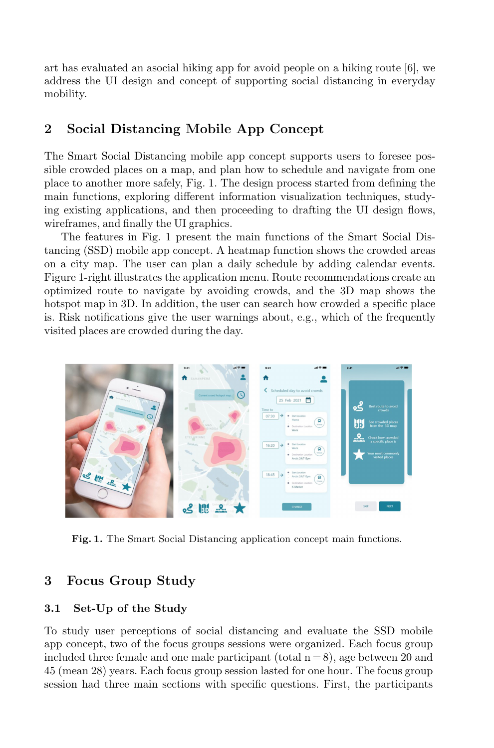art has evaluated an asocial hiking app for avoid people on a hiking route [\[6](#page-4-4)], we address the UI design and concept of supporting social distancing in everyday mobility.

# **2 Social Distancing Mobile App Concept**

The Smart Social Distancing mobile app concept supports users to foresee possible crowded places on a map, and plan how to schedule and navigate from one place to another more safely, Fig. [1.](#page-2-0) The design process started from defining the main functions, exploring different information visualization techniques, studying existing applications, and then proceeding to drafting the UI design flows, wireframes, and finally the UI graphics.

The features in Fig. [1](#page-2-0) present the main functions of the Smart Social Distancing (SSD) mobile app concept. A heatmap function shows the crowded areas on a city map. The user can plan a daily schedule by adding calendar events. Figure [1-](#page-2-0)right illustrates the application menu. Route recommendations create an optimized route to navigate by avoiding crowds, and the 3D map shows the hotspot map in 3D. In addition, the user can search how crowded a specific place is. Risk notifications give the user warnings about, e.g., which of the frequently visited places are crowded during the day.



<span id="page-2-0"></span>**Fig. 1.** The Smart Social Distancing application concept main functions.

# **3 Focus Group Study**

### **3.1 Set-Up of the Study**

To study user perceptions of social distancing and evaluate the SSD mobile app concept, two of the focus groups sessions were organized. Each focus group included three female and one male participant (total  $n = 8$ ), age between 20 and 45 (mean 28) years. Each focus group session lasted for one hour. The focus group session had three main sections with specific questions. First, the participants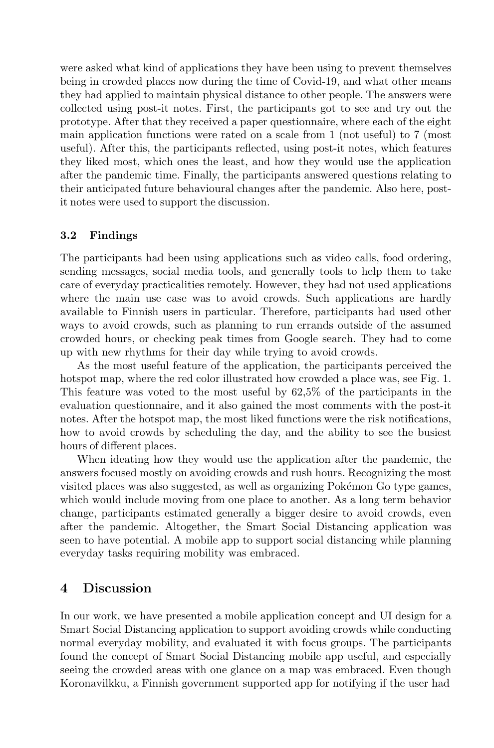were asked what kind of applications they have been using to prevent themselves being in crowded places now during the time of Covid-19, and what other means they had applied to maintain physical distance to other people. The answers were collected using post-it notes. First, the participants got to see and try out the prototype. After that they received a paper questionnaire, where each of the eight main application functions were rated on a scale from 1 (not useful) to 7 (most useful). After this, the participants reflected, using post-it notes, which features they liked most, which ones the least, and how they would use the application after the pandemic time. Finally, the participants answered questions relating to their anticipated future behavioural changes after the pandemic. Also here, postit notes were used to support the discussion.

#### **3.2 Findings**

The participants had been using applications such as video calls, food ordering, sending messages, social media tools, and generally tools to help them to take care of everyday practicalities remotely. However, they had not used applications where the main use case was to avoid crowds. Such applications are hardly available to Finnish users in particular. Therefore, participants had used other ways to avoid crowds, such as planning to run errands outside of the assumed crowded hours, or checking peak times from Google search. They had to come up with new rhythms for their day while trying to avoid crowds.

As the most useful feature of the application, the participants perceived the hotspot map, where the red color illustrated how crowded a place was, see Fig. [1.](#page-2-0) This feature was voted to the most useful by 62,5% of the participants in the evaluation questionnaire, and it also gained the most comments with the post-it notes. After the hotspot map, the most liked functions were the risk notifications, how to avoid crowds by scheduling the day, and the ability to see the busiest hours of different places.

When ideating how they would use the application after the pandemic, the answers focused mostly on avoiding crowds and rush hours. Recognizing the most visited places was also suggested, as well as organizing Pokémon Go type games, which would include moving from one place to another. As a long term behavior change, participants estimated generally a bigger desire to avoid crowds, even after the pandemic. Altogether, the Smart Social Distancing application was seen to have potential. A mobile app to support social distancing while planning everyday tasks requiring mobility was embraced.

## **4 Discussion**

In our work, we have presented a mobile application concept and UI design for a Smart Social Distancing application to support avoiding crowds while conducting normal everyday mobility, and evaluated it with focus groups. The participants found the concept of Smart Social Distancing mobile app useful, and especially seeing the crowded areas with one glance on a map was embraced. Even though Koronavilkku, a Finnish government supported app for notifying if the user had